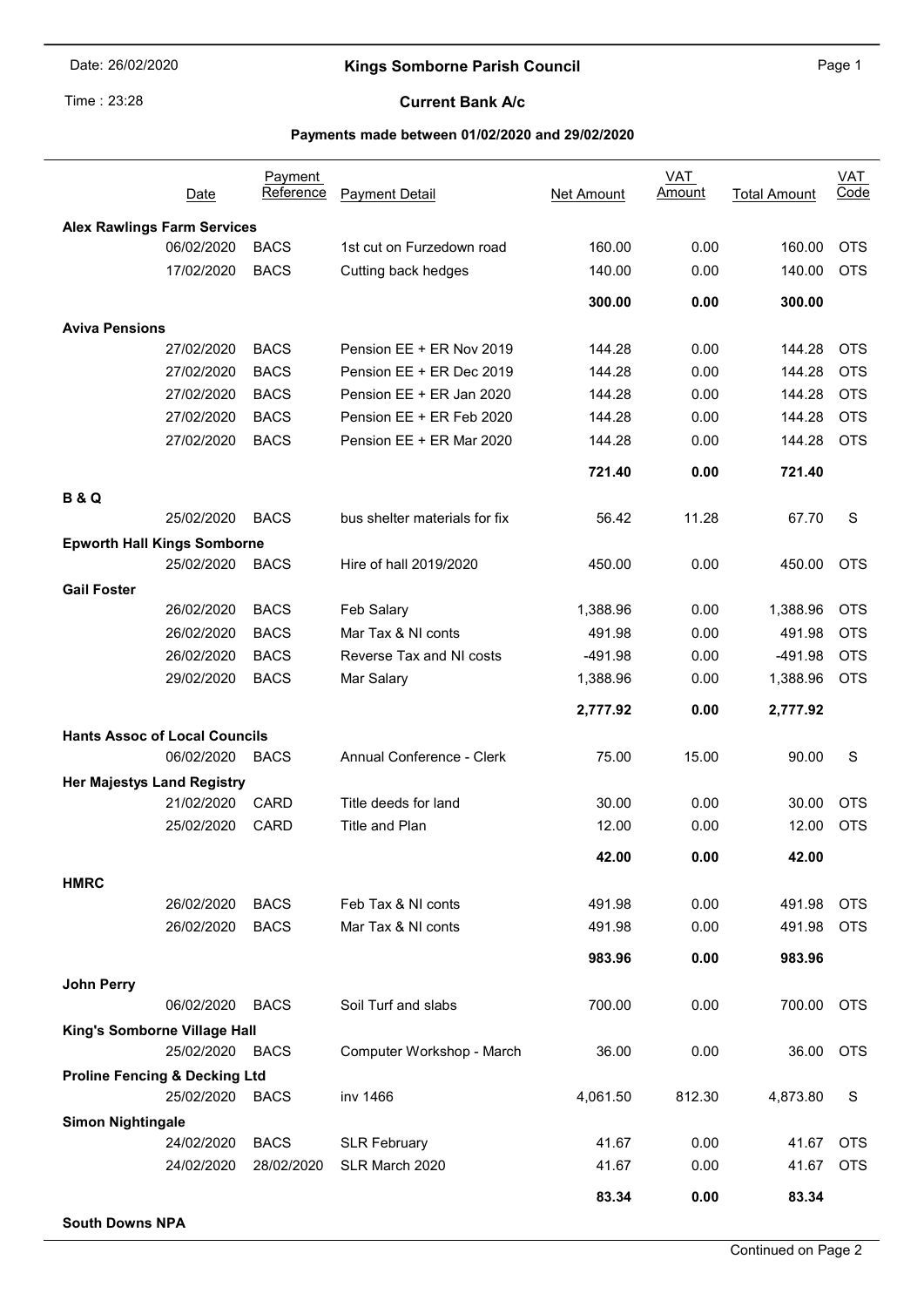# Time: 23:28

J.

## Kings Somborne Parish Council **Example 2018** Page 1

### Current Bank A/c

#### Payments made between 01/02/2020 and 29/02/2020

|                                          | Date                     | <b>Payment</b><br>Reference | <b>Payment Detail</b>                 | Net Amount     | <b>VAT</b><br><u>Amount</u> | <b>Total Amount</b> | <b>VAT</b><br>Code |
|------------------------------------------|--------------------------|-----------------------------|---------------------------------------|----------------|-----------------------------|---------------------|--------------------|
| <b>Alex Rawlings Farm Services</b>       |                          |                             |                                       |                |                             |                     |                    |
|                                          | 06/02/2020               | <b>BACS</b>                 | 1st cut on Furzedown road             | 160.00         | 0.00                        | 160.00              | <b>OTS</b>         |
|                                          | 17/02/2020               | <b>BACS</b>                 | Cutting back hedges                   | 140.00         | 0.00                        | 140.00              | <b>OTS</b>         |
|                                          |                          |                             |                                       | 300.00         | 0.00                        | 300.00              |                    |
| <b>Aviva Pensions</b>                    |                          |                             |                                       |                |                             |                     |                    |
|                                          | 27/02/2020               | <b>BACS</b>                 | Pension EE + ER Nov 2019              | 144.28         | 0.00                        | 144.28              | <b>OTS</b>         |
|                                          | 27/02/2020               | <b>BACS</b>                 | Pension EE + ER Dec 2019              | 144.28         | 0.00                        | 144.28              | <b>OTS</b>         |
|                                          | 27/02/2020               | <b>BACS</b>                 | Pension EE + ER Jan 2020              | 144.28         | 0.00                        | 144.28              | <b>OTS</b>         |
|                                          | 27/02/2020               | <b>BACS</b>                 | Pension EE + ER Feb 2020              | 144.28         | 0.00                        | 144.28              | <b>OTS</b>         |
|                                          | 27/02/2020               | <b>BACS</b>                 | Pension EE + ER Mar 2020              | 144.28         | 0.00                        | 144.28              | <b>OTS</b>         |
|                                          |                          |                             |                                       | 721.40         | 0.00                        | 721.40              |                    |
| <b>B&amp;Q</b>                           |                          |                             |                                       |                |                             |                     |                    |
|                                          | 25/02/2020               | <b>BACS</b>                 | bus shelter materials for fix         | 56.42          | 11.28                       | 67.70               | S                  |
| <b>Epworth Hall Kings Somborne</b>       |                          |                             |                                       |                |                             |                     |                    |
|                                          | 25/02/2020               | <b>BACS</b>                 | Hire of hall 2019/2020                | 450.00         | 0.00                        | 450.00              | <b>OTS</b>         |
| <b>Gail Foster</b>                       | 26/02/2020               | <b>BACS</b>                 | Feb Salary                            | 1,388.96       | 0.00                        | 1,388.96            | <b>OTS</b>         |
|                                          | 26/02/2020               | <b>BACS</b>                 | Mar Tax & NI conts                    | 491.98         | 0.00                        | 491.98              | <b>OTS</b>         |
|                                          | 26/02/2020               | <b>BACS</b>                 | Reverse Tax and NI costs              | -491.98        | 0.00                        | $-491.98$           | <b>OTS</b>         |
|                                          | 29/02/2020               | <b>BACS</b>                 |                                       |                | 0.00                        | 1,388.96            | <b>OTS</b>         |
|                                          |                          |                             | Mar Salary                            | 1,388.96       |                             |                     |                    |
|                                          |                          |                             |                                       | 2,777.92       | 0.00                        | 2,777.92            |                    |
| <b>Hants Assoc of Local Councils</b>     |                          |                             |                                       |                |                             |                     |                    |
|                                          | 06/02/2020               | <b>BACS</b>                 | Annual Conference - Clerk             | 75.00          | 15.00                       | 90.00               | S                  |
| <b>Her Majestys Land Registry</b>        |                          |                             |                                       |                |                             |                     |                    |
|                                          | 21/02/2020               | CARD                        | Title deeds for land                  | 30.00          | 0.00                        | 30.00               | <b>OTS</b>         |
|                                          | 25/02/2020               | <b>CARD</b>                 | <b>Title and Plan</b>                 | 12.00          | 0.00                        | 12.00               | <b>OTS</b>         |
|                                          |                          |                             |                                       | 42.00          | 0.00                        | 42.00               |                    |
| <b>HMRC</b>                              |                          |                             |                                       |                |                             |                     |                    |
|                                          | 26/02/2020               | <b>BACS</b>                 | Feb Tax & NI conts                    | 491.98         | 0.00                        | 491.98              | <b>OTS</b>         |
|                                          | 26/02/2020               | <b>BACS</b>                 | Mar Tax & NI conts                    | 491.98         | 0.00                        | 491.98              | <b>OTS</b>         |
|                                          |                          |                             |                                       | 983.96         | 0.00                        | 983.96              |                    |
| <b>John Perry</b>                        | 06/02/2020               | <b>BACS</b>                 | Soil Turf and slabs                   | 700.00         | 0.00                        | 700.00              | <b>OTS</b>         |
| King's Somborne Village Hall             |                          |                             |                                       |                |                             |                     |                    |
|                                          | 25/02/2020               | BACS                        | Computer Workshop - March             | 36.00          | 0.00                        | 36.00               | <b>OTS</b>         |
| <b>Proline Fencing &amp; Decking Ltd</b> |                          |                             |                                       |                |                             |                     |                    |
|                                          | 25/02/2020               | <b>BACS</b>                 | inv 1466                              | 4,061.50       | 812.30                      | 4,873.80            | S                  |
| <b>Simon Nightingale</b>                 |                          |                             |                                       |                |                             |                     | <b>OTS</b>         |
|                                          | 24/02/2020<br>24/02/2020 | <b>BACS</b><br>28/02/2020   | <b>SLR February</b><br>SLR March 2020 | 41.67<br>41.67 | 0.00<br>0.00                | 41.67<br>41.67      | <b>OTS</b>         |
|                                          |                          |                             |                                       |                |                             |                     |                    |
|                                          |                          |                             |                                       | 83.34          | 0.00                        | 83.34               |                    |

South Downs NPA